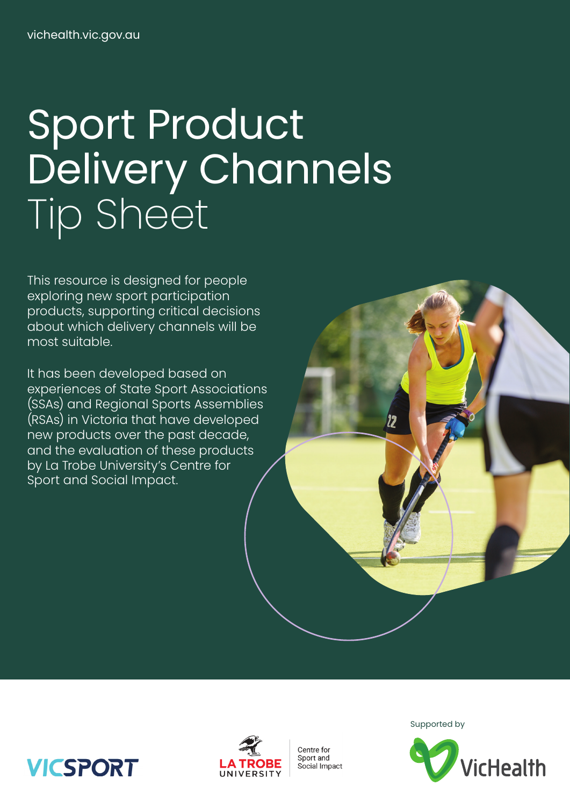# Sport Product Delivery Channels Tip Sheet

This resource is designed for people exploring new sport participation products, supporting critical decisions about which delivery channels will be most suitable.

It has been developed based on experiences of State Sport Associations (SSAs) and Regional Sports Assemblies (RSAs) in Victoria that have developed new products over the past decade, and the evaluation of these products by La Trobe University's Centre for Sport and Social Impact.



Centre for Sport and Social Impact Supported by



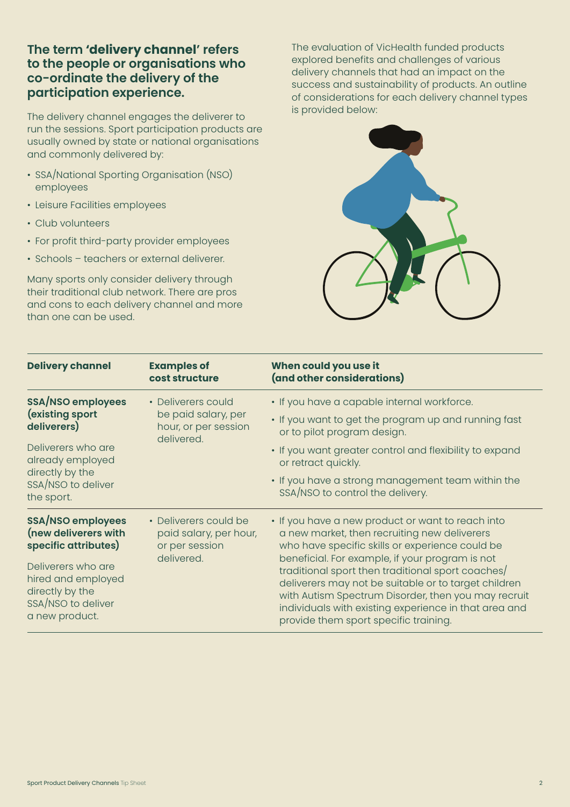### **The term 'delivery channel' refers to the people or organisations who co-ordinate the delivery of the participation experience.**

The delivery channel engages the deliverer to run the sessions. Sport participation products are usually owned by state or national organisations and commonly delivered by:

- SSA/National Sporting Organisation (NSO) employees
- Leisure Facilities employees
- Club volunteers
- For profit third-party provider employees
- Schools teachers or external deliverer.

Many sports only consider delivery through their traditional club network. There are pros and cons to each delivery channel and more than one can be used.

The evaluation of VicHealth funded products explored benefits and challenges of various delivery channels that had an impact on the success and sustainability of products. An outline of considerations for each delivery channel types is provided below:



| <b>Delivery channel</b>                                                                                                                                     | <b>Examples of</b><br>cost structure                                            | When could you use it<br>(and other considerations)                                                                                                                                                                                                                                                                   |
|-------------------------------------------------------------------------------------------------------------------------------------------------------------|---------------------------------------------------------------------------------|-----------------------------------------------------------------------------------------------------------------------------------------------------------------------------------------------------------------------------------------------------------------------------------------------------------------------|
| <b>SSA/NSO employees</b><br>(existing sport<br>deliverers)<br>Deliverers who are<br>already employed<br>directly by the<br>SSA/NSO to deliver<br>the sport. | • Deliverers could<br>be paid salary, per<br>hour, or per session<br>delivered. | • If you have a capable internal workforce.                                                                                                                                                                                                                                                                           |
|                                                                                                                                                             |                                                                                 | . If you want to get the program up and running fast<br>or to pilot program design.                                                                                                                                                                                                                                   |
|                                                                                                                                                             |                                                                                 | • If you want greater control and flexibility to expand<br>or retract quickly.                                                                                                                                                                                                                                        |
|                                                                                                                                                             |                                                                                 | • If you have a strong management team within the<br>SSA/NSO to control the delivery.                                                                                                                                                                                                                                 |
| <b>SSA/NSO employees</b><br>(new deliverers with<br>specific attributes)                                                                                    | • Deliverers could be<br>paid salary, per hour,<br>or per session<br>delivered. | • If you have a new product or want to reach into<br>a new market, then recruiting new deliverers<br>who have specific skills or experience could be                                                                                                                                                                  |
| Deliverers who are<br>hired and employed<br>directly by the<br>SSA/NSO to deliver<br>a new product.                                                         |                                                                                 | beneficial. For example, if your program is not<br>traditional sport then traditional sport coaches/<br>deliverers may not be suitable or to target children<br>with Autism Spectrum Disorder, then you may recruit<br>individuals with existing experience in that area and<br>provide them sport specific training. |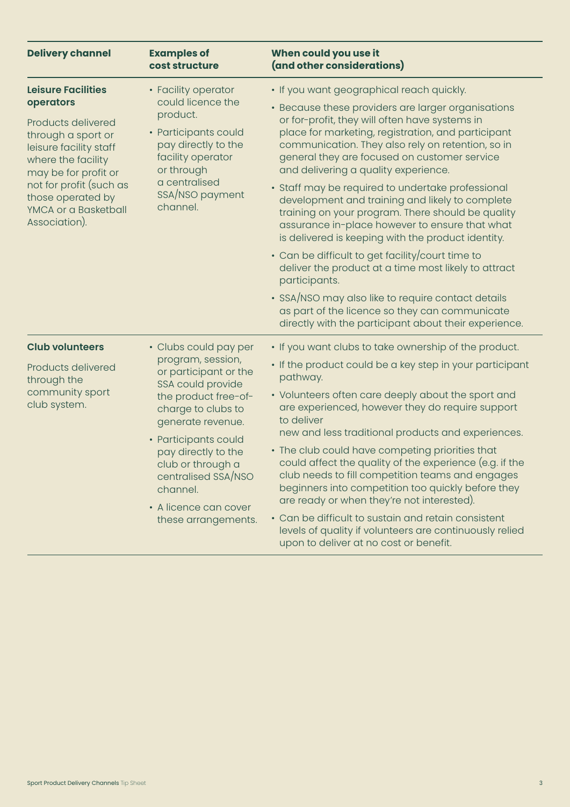| <b>Delivery channel</b>                                                                                                                                                                                                | <b>Examples of</b><br>cost structure                                                                                                                                                                                                                                                      | When could you use it<br>(and other considerations)                                                                                                                                                                                                                                                     |  |
|------------------------------------------------------------------------------------------------------------------------------------------------------------------------------------------------------------------------|-------------------------------------------------------------------------------------------------------------------------------------------------------------------------------------------------------------------------------------------------------------------------------------------|---------------------------------------------------------------------------------------------------------------------------------------------------------------------------------------------------------------------------------------------------------------------------------------------------------|--|
| <b>Leisure Facilities</b>                                                                                                                                                                                              | • Facility operator<br>could licence the<br>product.<br>• Participants could<br>pay directly to the<br>facility operator<br>or through<br>a centralised<br>SSA/NSO payment<br>channel.                                                                                                    | • If you want geographical reach quickly.                                                                                                                                                                                                                                                               |  |
| operators<br>Products delivered<br>through a sport or<br>leisure facility staff<br>where the facility<br>may be for profit or<br>not for profit (such as<br>those operated by<br>YMCA or a Basketball<br>Association). |                                                                                                                                                                                                                                                                                           | • Because these providers are larger organisations<br>or for-profit, they will often have systems in<br>place for marketing, registration, and participant<br>communication. They also rely on retention, so in<br>general they are focused on customer service<br>and delivering a quality experience. |  |
|                                                                                                                                                                                                                        |                                                                                                                                                                                                                                                                                           | • Staff may be required to undertake professional<br>development and training and likely to complete<br>training on your program. There should be quality<br>assurance in-place however to ensure that what<br>is delivered is keeping with the product identity.                                       |  |
|                                                                                                                                                                                                                        |                                                                                                                                                                                                                                                                                           | • Can be difficult to get facility/court time to<br>deliver the product at a time most likely to attract<br>participants.                                                                                                                                                                               |  |
|                                                                                                                                                                                                                        |                                                                                                                                                                                                                                                                                           | • SSA/NSO may also like to require contact details<br>as part of the licence so they can communicate<br>directly with the participant about their experience.                                                                                                                                           |  |
| <b>Club volunteers</b>                                                                                                                                                                                                 | • Clubs could pay per                                                                                                                                                                                                                                                                     | • If you want clubs to take ownership of the product.                                                                                                                                                                                                                                                   |  |
| Products delivered<br>through the<br>community sport<br>club system.                                                                                                                                                   | program, session,<br>or participant or the<br>SSA could provide<br>the product free-of-<br>charge to clubs to<br>generate revenue.<br>• Participants could<br>pay directly to the<br>club or through a<br>centralised SSA/NSO<br>channel.<br>• A licence can cover<br>these arrangements. | • If the product could be a key step in your participant<br>pathway.                                                                                                                                                                                                                                    |  |
|                                                                                                                                                                                                                        |                                                                                                                                                                                                                                                                                           | • Volunteers often care deeply about the sport and<br>are experienced, however they do require support<br>to deliver<br>new and less traditional products and experiences.                                                                                                                              |  |
|                                                                                                                                                                                                                        |                                                                                                                                                                                                                                                                                           | • The club could have competing priorities that<br>could affect the quality of the experience (e.g. if the<br>club needs to fill competition teams and engages<br>beginners into competition too quickly before they<br>are ready or when they're not interested).                                      |  |
|                                                                                                                                                                                                                        |                                                                                                                                                                                                                                                                                           | • Can be difficult to sustain and retain consistent<br>levels of quality if volunteers are continuously relied<br>upon to deliver at no cost or benefit.                                                                                                                                                |  |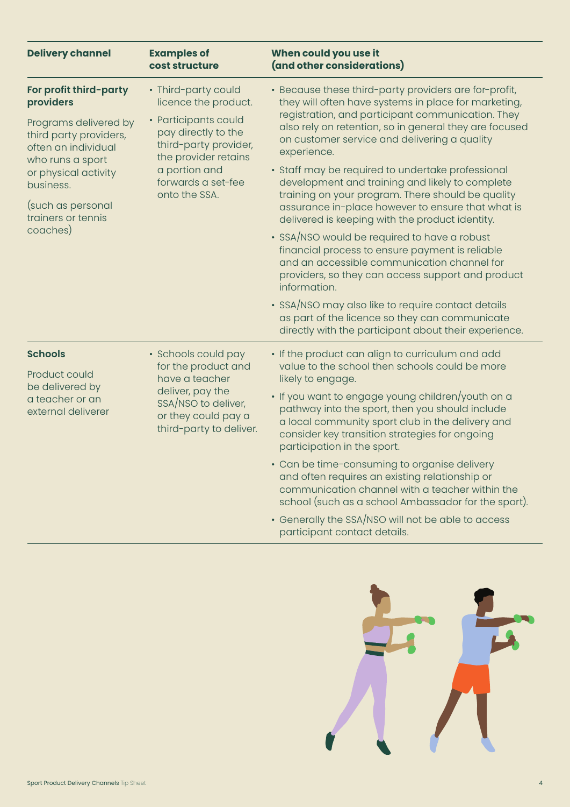| <b>Delivery channel</b>                                                                                                                                                                | <b>Examples of</b><br>cost structure                                                                                                                                                                | When could you use it<br>(and other considerations)                                                                                                                                                                                                                                                                      |  |
|----------------------------------------------------------------------------------------------------------------------------------------------------------------------------------------|-----------------------------------------------------------------------------------------------------------------------------------------------------------------------------------------------------|--------------------------------------------------------------------------------------------------------------------------------------------------------------------------------------------------------------------------------------------------------------------------------------------------------------------------|--|
| For profit third-party<br>providers                                                                                                                                                    | • Third-party could<br>licence the product.<br>• Participants could<br>pay directly to the<br>third-party provider,<br>the provider retains<br>a portion and<br>forwards a set-fee<br>onto the SSA. | · Because these third-party providers are for-profit,<br>they will often have systems in place for marketing,                                                                                                                                                                                                            |  |
| Programs delivered by<br>third party providers,<br>often an individual<br>who runs a sport<br>or physical activity<br>business.<br>(such as personal<br>trainers or tennis<br>coaches) |                                                                                                                                                                                                     | registration, and participant communication. They<br>also rely on retention, so in general they are focused<br>on customer service and delivering a quality<br>experience.                                                                                                                                               |  |
|                                                                                                                                                                                        |                                                                                                                                                                                                     | • Staff may be required to undertake professional<br>development and training and likely to complete<br>training on your program. There should be quality                                                                                                                                                                |  |
|                                                                                                                                                                                        |                                                                                                                                                                                                     | assurance in-place however to ensure that what is<br>delivered is keeping with the product identity.                                                                                                                                                                                                                     |  |
|                                                                                                                                                                                        |                                                                                                                                                                                                     | • SSA/NSO would be required to have a robust<br>financial process to ensure payment is reliable<br>and an accessible communication channel for<br>providers, so they can access support and product<br>information.                                                                                                      |  |
|                                                                                                                                                                                        |                                                                                                                                                                                                     | · SSA/NSO may also like to require contact details<br>as part of the licence so they can communicate<br>directly with the participant about their experience.                                                                                                                                                            |  |
| <b>Schools</b>                                                                                                                                                                         | • Schools could pay<br>for the product and                                                                                                                                                          | • If the product can align to curriculum and add<br>value to the school then schools could be more                                                                                                                                                                                                                       |  |
| Product could<br>be delivered by<br>a teacher or an<br>external deliverer                                                                                                              | have a teacher<br>deliver, pay the<br>SSA/NSO to deliver,<br>or they could pay a<br>third-party to deliver.                                                                                         | likely to engage.                                                                                                                                                                                                                                                                                                        |  |
|                                                                                                                                                                                        |                                                                                                                                                                                                     | • If you want to engage young children/youth on a<br>pathway into the sport, then you should include<br>a local community sport club in the delivery and<br>consider key transition strategies for ongoing<br>participation in the sport.                                                                                |  |
|                                                                                                                                                                                        |                                                                                                                                                                                                     | • Can be time-consuming to organise delivery<br>and often requires an existing relationship or<br>communication channel with a teacher within the<br>school (such as a school Ambassador for the sport).                                                                                                                 |  |
|                                                                                                                                                                                        |                                                                                                                                                                                                     | $\sim$ $\frac{1}{2}$ $\frac{1}{2}$ $\frac{1}{2}$ $\frac{1}{2}$ $\frac{1}{2}$ $\frac{1}{2}$ $\frac{1}{2}$ $\frac{1}{2}$ $\frac{1}{2}$ $\frac{1}{2}$ $\frac{1}{2}$ $\frac{1}{2}$ $\frac{1}{2}$ $\frac{1}{2}$ $\frac{1}{2}$ $\frac{1}{2}$ $\frac{1}{2}$ $\frac{1}{2}$ $\frac{1}{2}$ $\frac{1}{2}$ $\frac{1}{2}$ $\frac{1}{$ |  |

• Generally the SSA/NSO will not be able to access participant contact details.

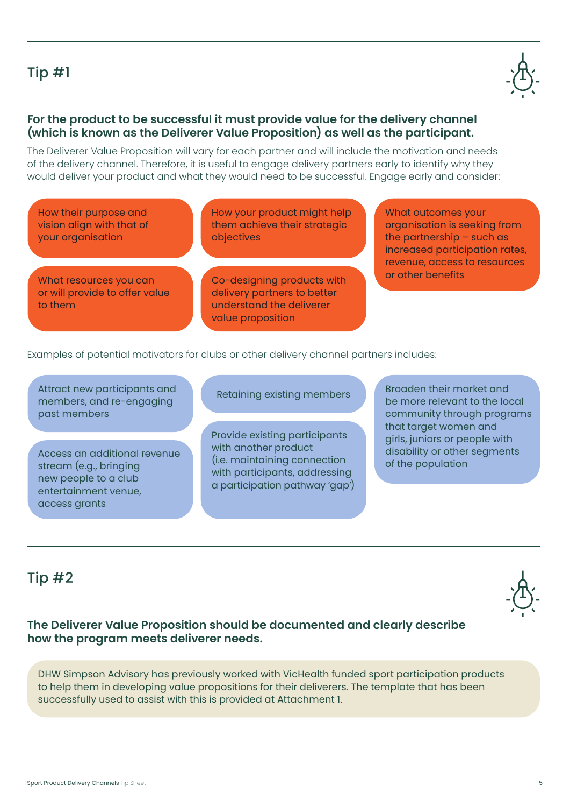# Tip #1

#### **For the product to be successful it must provide value for the delivery channel (which is known as the Deliverer Value Proposition) as well as the participant.**

The Deliverer Value Proposition will vary for each partner and will include the motivation and needs of the delivery channel. Therefore, it is useful to engage delivery partners early to identify why they would deliver your product and what they would need to be successful. Engage early and consider:

How their purpose and vision align with that of your organisation

How your product might help them achieve their strategic objectives

What resources you can or will provide to offer value to them

Co-designing products with delivery partners to better understand the deliverer value proposition

What outcomes your organisation is seeking from the partnership – such as increased participation rates, revenue, access to resources or other benefits

Examples of potential motivators for clubs or other delivery channel partners includes:

Attract new participants and members, and re-engaging past members

Access an additional revenue stream (e.g., bringing new people to a club entertainment venue, access grants

Retaining existing members

Provide existing participants with another product (i.e. maintaining connection with participants, addressing a participation pathway 'gap')

Broaden their market and be more relevant to the local community through programs that target women and girls, juniors or people with disability or other segments of the population

**The Deliverer Value Proposition should be documented and clearly describe how the program meets deliverer needs.** 

DHW Simpson Advisory has previously worked with VicHealth funded sport participation products to help them in developing value propositions for their deliverers. The template that has been successfully used to assist with this is provided at Attachment 1.

## Tip #2



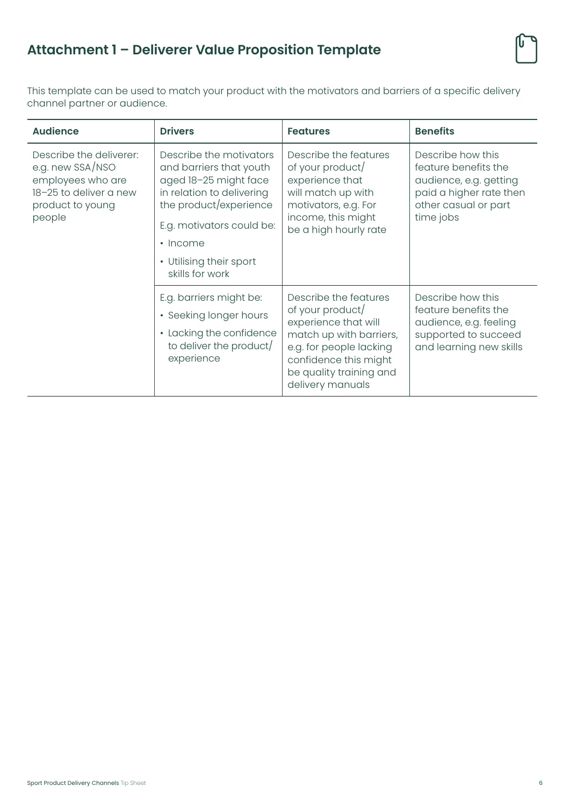# **Attachment 1 – Deliverer Value Proposition Template**

This template can be used to match your product with the motivators and barriers of a specific delivery channel partner or audience.

| <b>Audience</b>                                                                                                          | <b>Drivers</b>                                                                                                                                                                                                                  | <b>Features</b>                                                                                                                                                                                 | <b>Benefits</b>                                                                                                                     |
|--------------------------------------------------------------------------------------------------------------------------|---------------------------------------------------------------------------------------------------------------------------------------------------------------------------------------------------------------------------------|-------------------------------------------------------------------------------------------------------------------------------------------------------------------------------------------------|-------------------------------------------------------------------------------------------------------------------------------------|
| Describe the deliverer:<br>e.g. new SSA/NSO<br>employees who are<br>18-25 to deliver a new<br>product to young<br>people | Describe the motivators<br>and barriers that youth<br>aged 18-25 might face<br>in relation to delivering<br>the product/experience<br>E.g. motivators could be:<br>$\cdot$ Income<br>• Utilising their sport<br>skills for work | Describe the features<br>of your product/<br>experience that<br>will match up with<br>motivators, e.g. For<br>income, this might<br>be a high hourly rate                                       | Describe how this<br>feature benefits the<br>audience, e.g. getting<br>paid a higher rate then<br>other casual or part<br>time jobs |
|                                                                                                                          | E.g. barriers might be:<br>• Seeking longer hours<br>• Lacking the confidence<br>to deliver the product/<br>experience                                                                                                          | Describe the features<br>of your product/<br>experience that will<br>match up with barriers,<br>e.g. for people lacking<br>confidence this might<br>be quality training and<br>delivery manuals | Describe how this<br>feature benefits the<br>audience, e.g. feeling<br>supported to succeed<br>and learning new skills              |